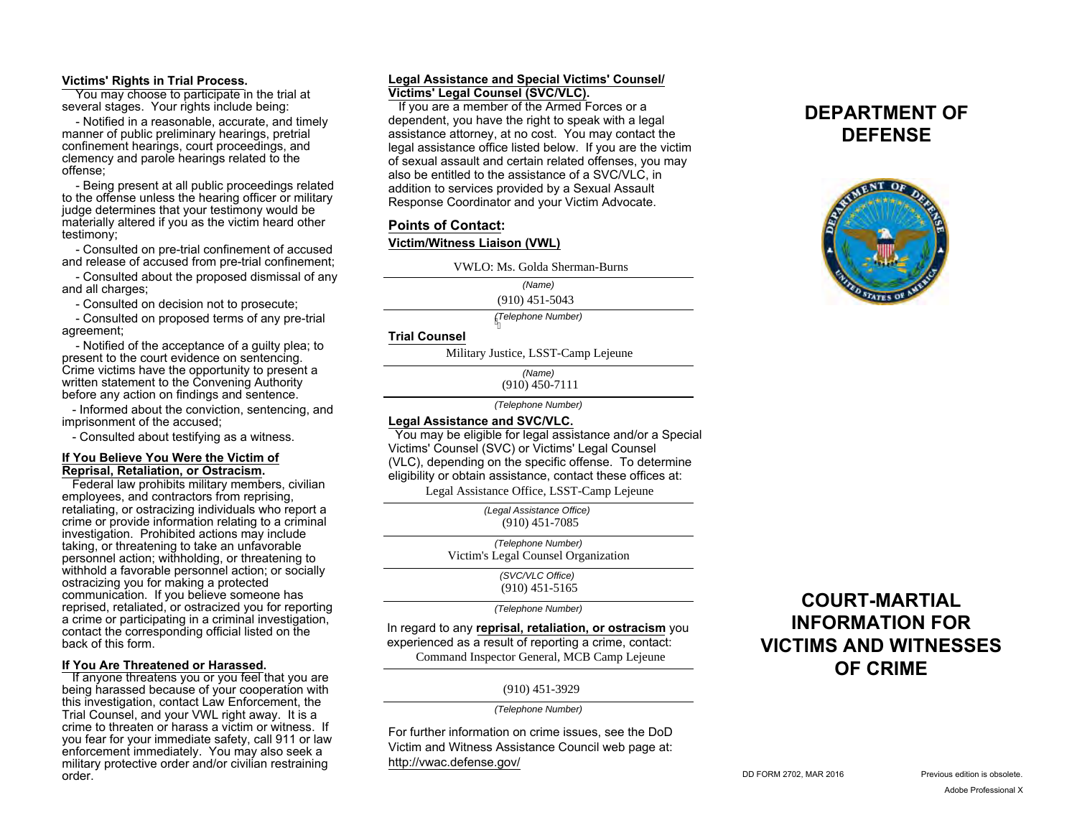#### **Victims' Rights in Trial Process.**

 You may choose to participate in the trial at several stages. Your rights include being:

 - Notified in a reasonable, accurate, and timely manner of public preliminary hearings, pretrial confinement hearings, court proceedings, and clemency and parole hearings related to the offense;

 - Being present at all public proceedings related to the offense unless the hearing officer or military judge determines that your testimony would be materially altered if you as the victim heard other testimony;

 - Consulted on pre-trial confinement of accused and release of accused from pre-trial confinement;

 - Consulted about the proposed dismissal of any and all charges;

- Consulted on decision not to prosecute;

 - Consulted on proposed terms of any pre-trial agreement;

 - Notified of the acceptance of a guilty plea; to present to the court evidence on sentencing. Crime victims have the opportunity to present a written statement to the Convening Authority before any action on findings and sentence.

 - Informed about the conviction, sentencing, and imprisonment of the accused;

- Consulted about testifying as a witness.

#### **If You Believe You Were the Victim of Reprisal, Retaliation, or Ostracism.**

 Federal law prohibits military members, civilian employees, and contractors from reprising, retaliating, or ostracizing individuals who report a crime or provide information relating to a criminal investigation. Prohibited actions may include taking, or threatening to take an unfavorable personnel action; withholding, or threatening to withhold a favorable personnel action; or socially ostracizing you for making a protected communication. If you believe someone has reprised, retaliated, or ostracized you for reporting a crime or participating in a criminal investigation, contact the corresponding official listed on the back of this form.

#### **If You Are Threatened or Harassed.**

If anyone threatens you or you feel that you are being harassed because of your cooperation with this investigation, contact Law Enforcement, the Trial Counsel, and your VWL right away. It is a crime to threaten or harass a victim or witness. If you fear for your immediate safety, call 911 or law enforcement immediately. You may also seek a military protective order and/or civilian restraining order.

## **Legal Assistance and Special Victims' Counsel/ Victims' Legal Counsel (SVC/VLC).**

 If you are a member of the Armed Forces or a dependent, you have the right to speak with a legal assistance attorney, at no cost. You may contact the legal assistance office listed below. If you are the victim of sexual assault and certain related offenses, you may also be entitled to the assistance of a SVC/VLC, in addition to services provided by a Sexual Assault Response Coordinator and your Victim Advocate.

# **Points of Contact:**

## **Victim/Witness Liaison (VWL)**

VWLO: Ms. Golda Sherman-Burns<br>
(*Name*)<br>
(910) 451-5043<br> *Melephone Number*)<br> **ANDERENTER CAMPLE AND LEVALUATE:**<br>
Military Justice, LSST-Camp Lejeune

*(Name)*

*(Telephone Number)*

#### **Trial Counsel**

*(Name)*  $(910)$  450-7111

*(Telephone Number)*

#### **Legal Assistance and SVC/VLC.**

 You may be eligible for legal assistance and/or a Special Victims' Counsel (SVC) or Victims' Legal Counsel (VLC), depending on the specific offense. To determine eligibility or obtain assistance, contact these offices at:

Legal Assistance Office, LSST-Camp Lejeune

*(Legal Assistance Office)* (910) 451-7085

*(Telephone Number)* Victim's Legal Counsel Organization

> *(SVC/VLC Office)* (910) 451-5165

*(Telephone Number)*

In regard to any **reprisal, retaliation, or ostracism** you experienced as a result of reporting a crime, contact: Command Inspector General, MCB Camp Lejeune

(910) 451-3929

*(Telephone Number)*

For further information on crime issues, see the DoD Victim and Witness Assistance Council web page at: http://vwac.defense.gov/

# **DEPARTMENT OF DEFENSE**



# **COURT-MARTIAL INFORMATION FOR VICTIMS AND WITNESSES OF CRIME**